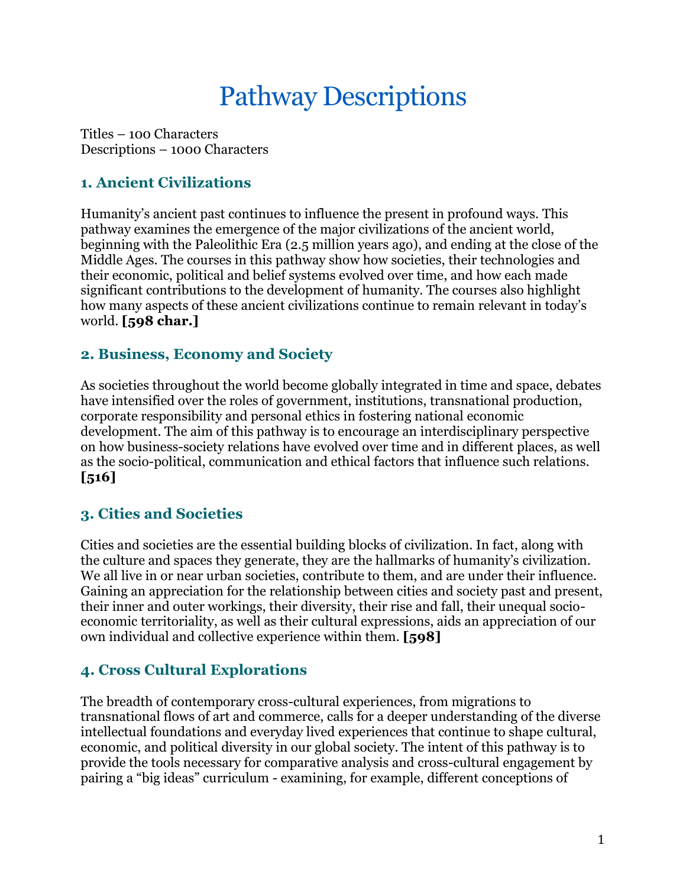# Pathway Descriptions

Titles – 100 Characters Descriptions – 1000 Characters

## **1. Ancient Civilizations**

Humanity's ancient past continues to influence the present in profound ways. This pathway examines the emergence of the major civilizations of the ancient world, beginning with the Paleolithic Era (2.5 million years ago), and ending at the close of the Middle Ages. The courses in this pathway show how societies, their technologies and their economic, political and belief systems evolved over time, and how each made significant contributions to the development of humanity. The courses also highlight how many aspects of these ancient civilizations continue to remain relevant in today's world. **[598 char.]**

## **2. Business, Economy and Society**

As societies throughout the world become globally integrated in time and space, debates have intensified over the roles of government, institutions, transnational production, corporate responsibility and personal ethics in fostering national economic development. The aim of this pathway is to encourage an interdisciplinary perspective on how business-society relations have evolved over time and in different places, as well as the socio-political, communication and ethical factors that influence such relations. **[516]**

## **3. Cities and Societies**

Cities and societies are the essential building blocks of civilization. In fact, along with the culture and spaces they generate, they are the hallmarks of humanity's civilization. We all live in or near urban societies, contribute to them, and are under their influence. Gaining an appreciation for the relationship between cities and society past and present, their inner and outer workings, their diversity, their rise and fall, their unequal socioeconomic territoriality, as well as their cultural expressions, aids an appreciation of our own individual and collective experience within them. **[598]**

## **4. Cross Cultural Explorations**

The breadth of contemporary cross-cultural experiences, from migrations to transnational flows of art and commerce, calls for a deeper understanding of the diverse intellectual foundations and everyday lived experiences that continue to shape cultural, economic, and political diversity in our global society. The intent of this pathway is to provide the tools necessary for comparative analysis and cross-cultural engagement by pairing a "big ideas" curriculum - examining, for example, different conceptions of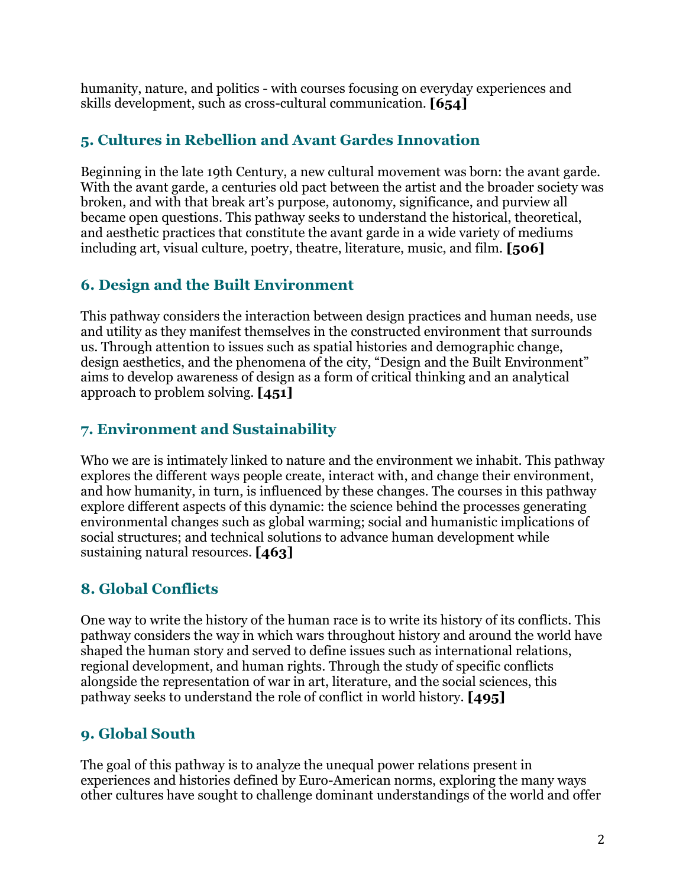humanity, nature, and politics - with courses focusing on everyday experiences and skills development, such as cross-cultural communication. **[654]**

# **5. Cultures in Rebellion and Avant Gardes Innovation**

Beginning in the late 19th Century, a new cultural movement was born: the avant garde. With the avant garde, a centuries old pact between the artist and the broader society was broken, and with that break art's purpose, autonomy, significance, and purview all became open questions. This pathway seeks to understand the historical, theoretical, and aesthetic practices that constitute the avant garde in a wide variety of mediums including art, visual culture, poetry, theatre, literature, music, and film. **[506]**

# **6. Design and the Built Environment**

This pathway considers the interaction between design practices and human needs, use and utility as they manifest themselves in the constructed environment that surrounds us. Through attention to issues such as spatial histories and demographic change, design aesthetics, and the phenomena of the city, "Design and the Built Environment" aims to develop awareness of design as a form of critical thinking and an analytical approach to problem solving. **[451]**

# **7. Environment and Sustainability**

Who we are is intimately linked to nature and the environment we inhabit. This pathway explores the different ways people create, interact with, and change their environment, and how humanity, in turn, is influenced by these changes. The courses in this pathway explore different aspects of this dynamic: the science behind the processes generating environmental changes such as global warming; social and humanistic implications of social structures; and technical solutions to advance human development while sustaining natural resources. **[463]**

# **8. Global Conflicts**

One way to write the history of the human race is to write its history of its conflicts. This pathway considers the way in which wars throughout history and around the world have shaped the human story and served to define issues such as international relations, regional development, and human rights. Through the study of specific conflicts alongside the representation of war in art, literature, and the social sciences, this pathway seeks to understand the role of conflict in world history. **[495]**

# **9. Global South**

The goal of this pathway is to analyze the unequal power relations present in experiences and histories defined by Euro-American norms, exploring the many ways other cultures have sought to challenge dominant understandings of the world and offer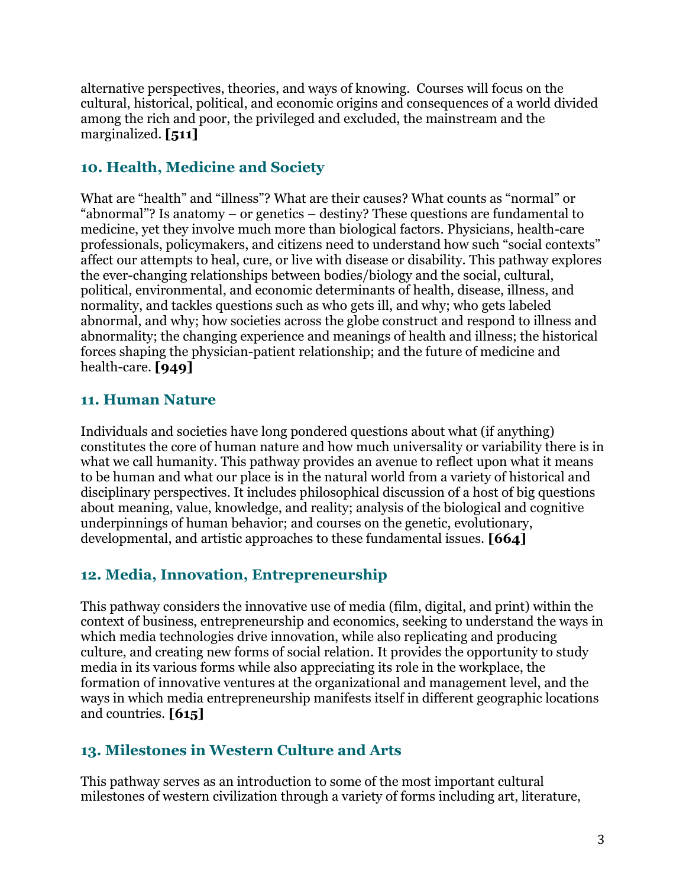alternative perspectives, theories, and ways of knowing. Courses will focus on the cultural, historical, political, and economic origins and consequences of a world divided among the rich and poor, the privileged and excluded, the mainstream and the marginalized. **[511]**

## **10. Health, Medicine and Society**

What are "health" and "illness"? What are their causes? What counts as "normal" or "abnormal"? Is anatomy – or genetics – destiny? These questions are fundamental to medicine, yet they involve much more than biological factors. Physicians, health-care professionals, policymakers, and citizens need to understand how such "social contexts" affect our attempts to heal, cure, or live with disease or disability. This pathway explores the ever-changing relationships between bodies/biology and the social, cultural, political, environmental, and economic determinants of health, disease, illness, and normality, and tackles questions such as who gets ill, and why; who gets labeled abnormal, and why; how societies across the globe construct and respond to illness and abnormality; the changing experience and meanings of health and illness; the historical forces shaping the physician-patient relationship; and the future of medicine and health-care. **[949]**

## **11. Human Nature**

Individuals and societies have long pondered questions about what (if anything) constitutes the core of human nature and how much universality or variability there is in what we call humanity. This pathway provides an avenue to reflect upon what it means to be human and what our place is in the natural world from a variety of historical and disciplinary perspectives. It includes philosophical discussion of a host of big questions about meaning, value, knowledge, and reality; analysis of the biological and cognitive underpinnings of human behavior; and courses on the genetic, evolutionary, developmental, and artistic approaches to these fundamental issues. **[664]**

## **12. Media, Innovation, Entrepreneurship**

This pathway considers the innovative use of media (film, digital, and print) within the context of business, entrepreneurship and economics, seeking to understand the ways in which media technologies drive innovation, while also replicating and producing culture, and creating new forms of social relation. It provides the opportunity to study media in its various forms while also appreciating its role in the workplace, the formation of innovative ventures at the organizational and management level, and the ways in which media entrepreneurship manifests itself in different geographic locations and countries. **[615]**

## **13. Milestones in Western Culture and Arts**

This pathway serves as an introduction to some of the most important cultural milestones of western civilization through a variety of forms including art, literature,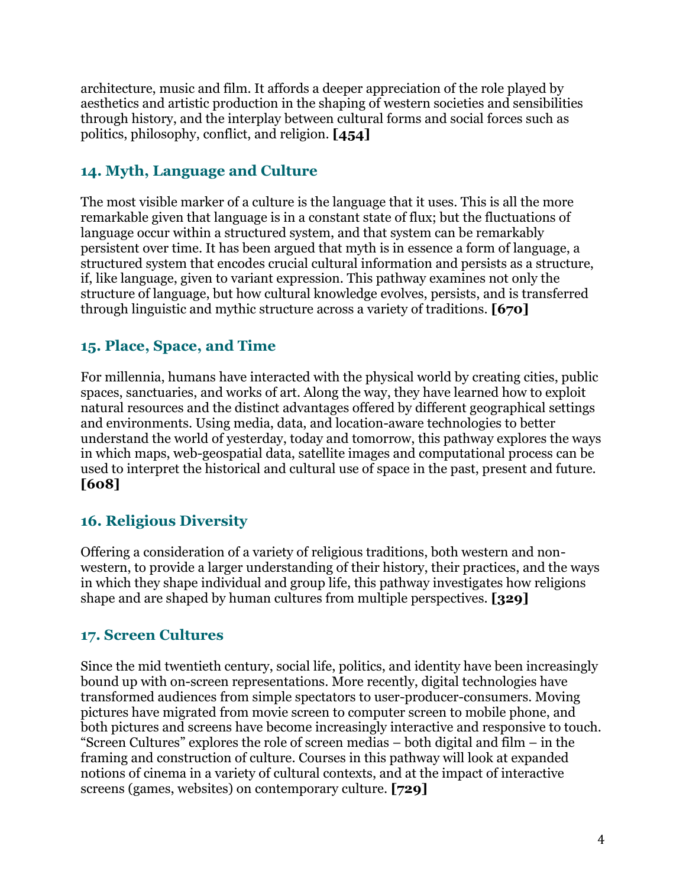architecture, music and film. It affords a deeper appreciation of the role played by aesthetics and artistic production in the shaping of western societies and sensibilities through history, and the interplay between cultural forms and social forces such as politics, philosophy, conflict, and religion. **[454]**

# **14. Myth, Language and Culture**

The most visible marker of a culture is the language that it uses. This is all the more remarkable given that language is in a constant state of flux; but the fluctuations of language occur within a structured system, and that system can be remarkably persistent over time. It has been argued that myth is in essence a form of language, a structured system that encodes crucial cultural information and persists as a structure, if, like language, given to variant expression. This pathway examines not only the structure of language, but how cultural knowledge evolves, persists, and is transferred through linguistic and mythic structure across a variety of traditions. **[670]**

## **15. Place, Space, and Time**

For millennia, humans have interacted with the physical world by creating cities, public spaces, sanctuaries, and works of art. Along the way, they have learned how to exploit natural resources and the distinct advantages offered by different geographical settings and environments. Using media, data, and location-aware technologies to better understand the world of yesterday, today and tomorrow, this pathway explores the ways in which maps, web-geospatial data, satellite images and computational process can be used to interpret the historical and cultural use of space in the past, present and future. **[608]**

## **16. Religious Diversity**

Offering a consideration of a variety of religious traditions, both western and nonwestern, to provide a larger understanding of their history, their practices, and the ways in which they shape individual and group life, this pathway investigates how religions shape and are shaped by human cultures from multiple perspectives. **[329]**

## **17. Screen Cultures**

Since the mid twentieth century, social life, politics, and identity have been increasingly bound up with on-screen representations. More recently, digital technologies have transformed audiences from simple spectators to user-producer-consumers. Moving pictures have migrated from movie screen to computer screen to mobile phone, and both pictures and screens have become increasingly interactive and responsive to touch. "Screen Cultures" explores the role of screen medias – both digital and film – in the framing and construction of culture. Courses in this pathway will look at expanded notions of cinema in a variety of cultural contexts, and at the impact of interactive screens (games, websites) on contemporary culture. **[729]**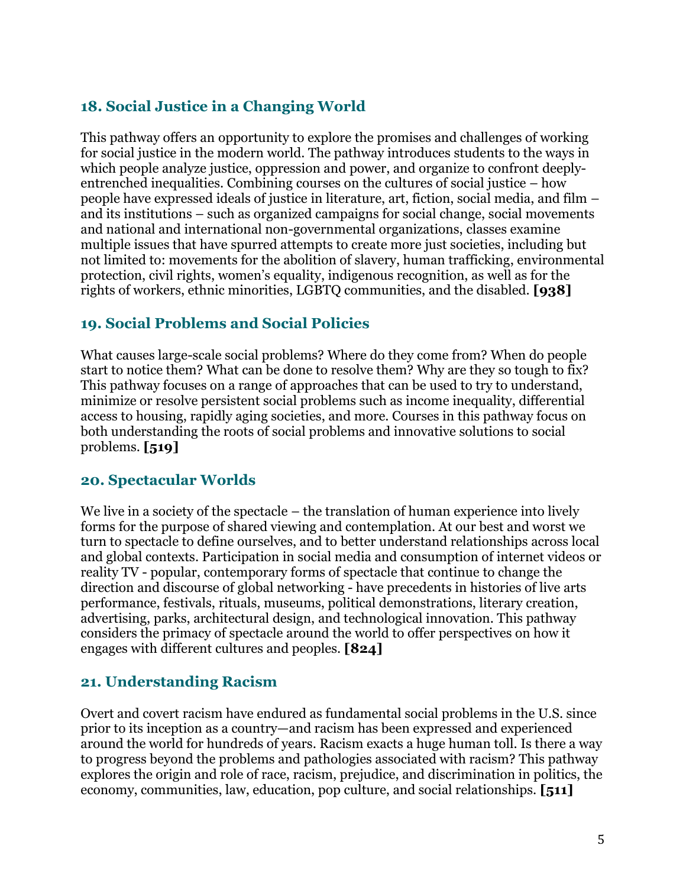# **18. Social Justice in a Changing World**

This pathway offers an opportunity to explore the promises and challenges of working for social justice in the modern world. The pathway introduces students to the ways in which people analyze justice, oppression and power, and organize to confront deeplyentrenched inequalities. Combining courses on the cultures of social justice – how people have expressed ideals of justice in literature, art, fiction, social media, and film – and its institutions – such as organized campaigns for social change, social movements and national and international non-governmental organizations, classes examine multiple issues that have spurred attempts to create more just societies, including but not limited to: movements for the abolition of slavery, human trafficking, environmental protection, civil rights, women's equality, indigenous recognition, as well as for the rights of workers, ethnic minorities, LGBTQ communities, and the disabled. **[938]**

## **19. Social Problems and Social Policies**

What causes large-scale social problems? Where do they come from? When do people start to notice them? What can be done to resolve them? Why are they so tough to fix? This pathway focuses on a range of approaches that can be used to try to understand, minimize or resolve persistent social problems such as income inequality, differential access to housing, rapidly aging societies, and more. Courses in this pathway focus on both understanding the roots of social problems and innovative solutions to social problems. **[519]**

## **20. Spectacular Worlds**

We live in a society of the spectacle – the translation of human experience into lively forms for the purpose of shared viewing and contemplation. At our best and worst we turn to spectacle to define ourselves, and to better understand relationships across local and global contexts. Participation in social media and consumption of internet videos or reality TV - popular, contemporary forms of spectacle that continue to change the direction and discourse of global networking - have precedents in histories of live arts performance, festivals, rituals, museums, political demonstrations, literary creation, advertising, parks, architectural design, and technological innovation. This pathway considers the primacy of spectacle around the world to offer perspectives on how it engages with different cultures and peoples. **[824]**

## **21. Understanding Racism**

Overt and covert racism have endured as fundamental social problems in the U.S. since prior to its inception as a country—and racism has been expressed and experienced around the world for hundreds of years. Racism exacts a huge human toll. Is there a way to progress beyond the problems and pathologies associated with racism? This pathway explores the origin and role of race, racism, prejudice, and discrimination in politics, the economy, communities, law, education, pop culture, and social relationships. **[511]**